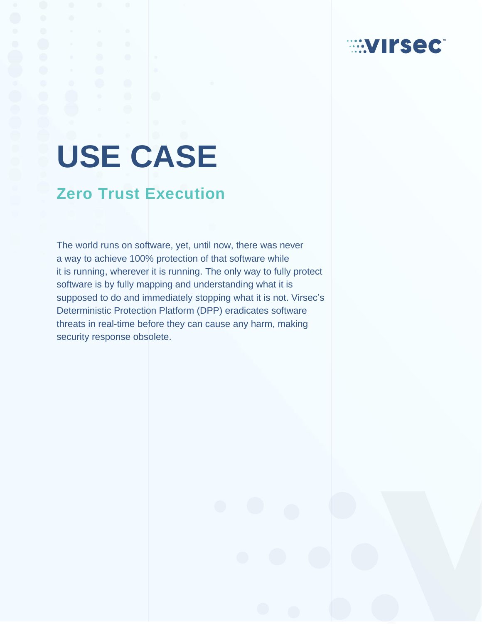# **EXTIRSECT**

# **USE CASE**

# **Zero Trust Execution**

The world runs on software, yet, until now, there was never a way to achieve 100% protection of that software while it is running, wherever it is running. The only way to fully protect software is by fully mapping and understanding what it is supposed to do and immediately stopping what it is not. Virsec's Deterministic Protection Platform (DPP) eradicates software threats in real-time before they can cause any harm, making security response obsolete.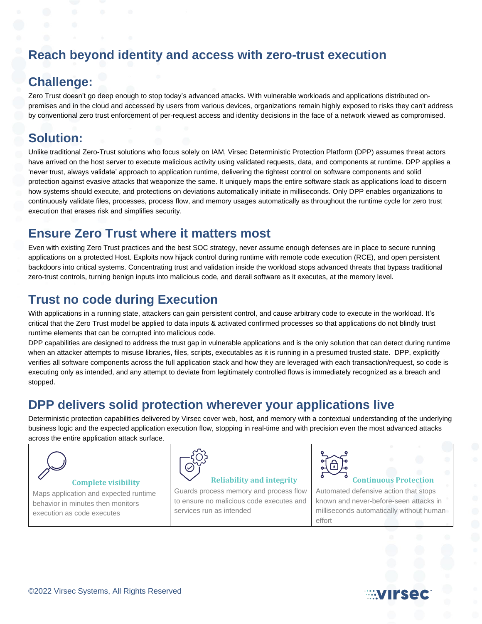## **Reach beyond identity and access with zero-trust execution**

#### **Challenge:**

Zero Trust doesn't go deep enough to stop today's advanced attacks. With vulnerable workloads and applications distributed onpremises and in the cloud and accessed by users from various devices, organizations remain highly exposed to risks they can't address by conventional zero trust enforcement of per-request access and identity decisions in the face of a network viewed as compromised.

#### **Solution:**

Unlike traditional Zero-Trust solutions who focus solely on IAM, Virsec Deterministic Protection Platform (DPP) assumes threat actors have arrived on the host server to execute malicious activity using validated requests, data, and components at runtime. DPP applies a 'never trust, always validate' approach to application runtime, delivering the tightest control on software components and solid protection against evasive attacks that weaponize the same. It uniquely maps the entire software stack as applications load to discern how systems should execute, and protections on deviations automatically initiate in milliseconds. Only DPP enables organizations to continuously validate files, processes, process flow, and memory usages automatically as throughout the runtime cycle for zero trust execution that erases risk and simplifies security.

#### **Ensure Zero Trust where it matters most**

Even with existing Zero Trust practices and the best SOC strategy, never assume enough defenses are in place to secure running applications on a protected Host. Exploits now hijack control during runtime with remote code execution (RCE), and open persistent backdoors into critical systems. Concentrating trust and validation inside the workload stops advanced threats that bypass traditional zero-trust controls, turning benign inputs into malicious code, and derail software as it executes, at the memory level.

### **Trust no code during Execution**

With applications in a running state, attackers can gain persistent control, and cause arbitrary code to execute in the workload. It's critical that the Zero Trust model be applied to data inputs & activated confirmed processes so that applications do not blindly trust runtime elements that can be corrupted into malicious code.

DPP capabilities are designed to address the trust gap in vulnerable applications and is the only solution that can detect during runtime when an attacker attempts to misuse libraries, files, scripts, executables as it is running in a presumed trusted state. DPP, explicitly verifies all software components across the full application stack and how they are leveraged with each transaction/request, so code is executing only as intended, and any attempt to deviate from legitimately controlled flows is immediately recognized as a breach and stopped.

#### **DPP delivers solid protection wherever your applications live**

Deterministic protection capabilities delivered by Virsec cover web, host, and memory with a contextual understanding of the underlying business logic and the expected application execution flow, stopping in real-time and with precision even the most advanced attacks across the entire application attack surface.



Maps application and expected runtime behavior in minutes then monitors execution as code executes



#### **Reliability and integrity**

Guards process memory and process flow to ensure no malicious code executes and services run as intended



# **Continuous Protection**

Automated defensive action that stops known and never-before-seen attacks in milliseconds automatically without human effort